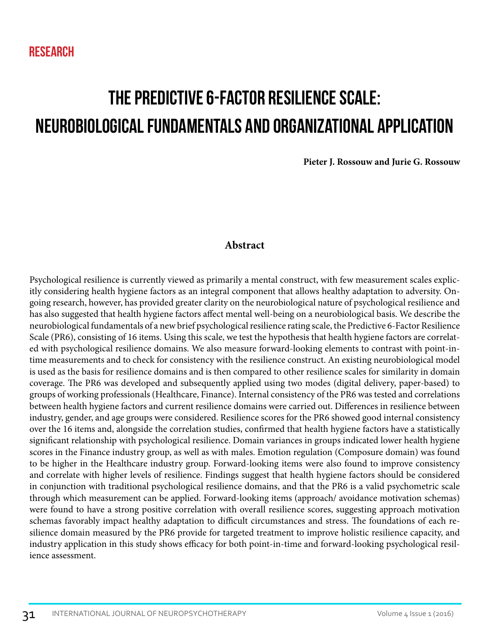# The Predictive 6-Factor Resilience Scale: Neurobiological Fundamentals and Organizational Application

**Pieter J. Rossouw and Jurie G. Rossouw**

# **Abstract**

Psychological resilience is currently viewed as primarily a mental construct, with few measurement scales explicitly considering health hygiene factors as an integral component that allows healthy adaptation to adversity. Ongoing research, however, has provided greater clarity on the neurobiological nature of psychological resilience and has also suggested that health hygiene factors affect mental well-being on a neurobiological basis. We describe the neurobiological fundamentals of a new brief psychological resilience rating scale, the Predictive 6-Factor Resilience Scale (PR6), consisting of 16 items. Using this scale, we test the hypothesis that health hygiene factors are correlated with psychological resilience domains. We also measure forward-looking elements to contrast with point-intime measurements and to check for consistency with the resilience construct. An existing neurobiological model is used as the basis for resilience domains and is then compared to other resilience scales for similarity in domain coverage. The PR6 was developed and subsequently applied using two modes (digital delivery, paper-based) to groups of working professionals (Healthcare, Finance). Internal consistency of the PR6 was tested and correlations between health hygiene factors and current resilience domains were carried out. Differences in resilience between industry, gender, and age groups were considered. Resilience scores for the PR6 showed good internal consistency over the 16 items and, alongside the correlation studies, confirmed that health hygiene factors have a statistically significant relationship with psychological resilience. Domain variances in groups indicated lower health hygiene scores in the Finance industry group, as well as with males. Emotion regulation (Composure domain) was found to be higher in the Healthcare industry group. Forward-looking items were also found to improve consistency and correlate with higher levels of resilience. Findings suggest that health hygiene factors should be considered in conjunction with traditional psychological resilience domains, and that the PR6 is a valid psychometric scale through which measurement can be applied. Forward-looking items (approach/ avoidance motivation schemas) were found to have a strong positive correlation with overall resilience scores, suggesting approach motivation schemas favorably impact healthy adaptation to difficult circumstances and stress. The foundations of each resilience domain measured by the PR6 provide for targeted treatment to improve holistic resilience capacity, and industry application in this study shows efficacy for both point-in-time and forward-looking psychological resilience assessment.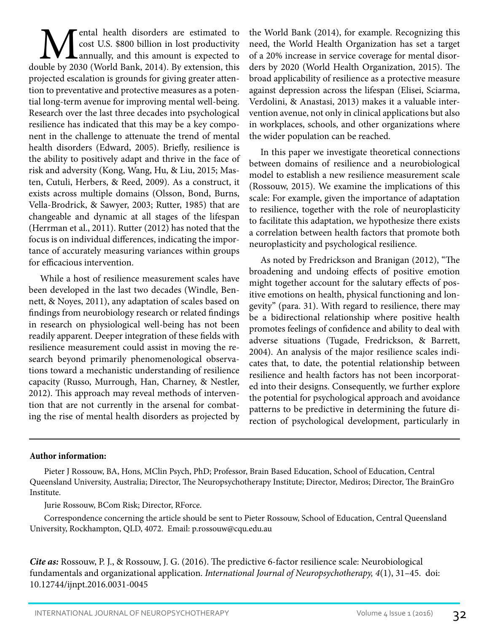**M**ental health disorders are estimated to cost U.S. \$800 billion in lost productivity annually, and this amount is expected to double by 2030 (World Bank, 2014). By extension, this cost U.S. \$800 billion in lost productivity annually, and this amount is expected to projected escalation is grounds for giving greater attention to preventative and protective measures as a potential long-term avenue for improving mental well-being. Research over the last three decades into psychological resilience has indicated that this may be a key component in the challenge to attenuate the trend of mental health disorders (Edward, 2005). Briefly, resilience is the ability to positively adapt and thrive in the face of risk and adversity (Kong, Wang, Hu, & Liu, 2015; Masten, Cutuli, Herbers, & Reed, 2009). As a construct, it exists across multiple domains (Olsson, Bond, Burns, Vella-Brodrick, & Sawyer, 2003; Rutter, 1985) that are changeable and dynamic at all stages of the lifespan (Herrman et al., 2011). Rutter (2012) has noted that the focus is on individual differences, indicating the importance of accurately measuring variances within groups for efficacious intervention.

While a host of resilience measurement scales have been developed in the last two decades (Windle, Bennett, & Noyes, 2011), any adaptation of scales based on findings from neurobiology research or related findings in research on physiological well-being has not been readily apparent. Deeper integration of these fields with resilience measurement could assist in moving the research beyond primarily phenomenological observations toward a mechanistic understanding of resilience capacity (Russo, Murrough, Han, Charney, & Nestler, 2012). This approach may reveal methods of intervention that are not currently in the arsenal for combating the rise of mental health disorders as projected by the World Bank (2014), for example. Recognizing this need, the World Health Organization has set a target of a 20% increase in service coverage for mental disorders by 2020 (World Health Organization, 2015). The broad applicability of resilience as a protective measure against depression across the lifespan (Elisei, Sciarma, Verdolini, & Anastasi, 2013) makes it a valuable intervention avenue, not only in clinical applications but also in workplaces, schools, and other organizations where the wider population can be reached.

In this paper we investigate theoretical connections between domains of resilience and a neurobiological model to establish a new resilience measurement scale (Rossouw, 2015). We examine the implications of this scale: For example, given the importance of adaptation to resilience, together with the role of neuroplasticity to facilitate this adaptation, we hypothesize there exists a correlation between health factors that promote both neuroplasticity and psychological resilience.

As noted by Fredrickson and Branigan (2012), "The broadening and undoing effects of positive emotion might together account for the salutary effects of positive emotions on health, physical functioning and longevity" (para. 31). With regard to resilience, there may be a bidirectional relationship where positive health promotes feelings of confidence and ability to deal with adverse situations (Tugade, Fredrickson, & Barrett, 2004). An analysis of the major resilience scales indicates that, to date, the potential relationship between resilience and health factors has not been incorporated into their designs. Consequently, we further explore the potential for psychological approach and avoidance patterns to be predictive in determining the future direction of psychological development, particularly in

#### **Author information:**

Pieter J Rossouw, BA, Hons, MClin Psych, PhD; Professor, Brain Based Education, School of Education, Central Queensland University, Australia; Director, The Neuropsychotherapy Institute; Director, Mediros; Director, The BrainGro Institute.

Jurie Rossouw, BCom Risk; Director, RForce.

Correspondence concerning the article should be sent to Pieter Rossouw, School of Education, Central Queensland University, Rockhampton, QLD, 4072. Email: p.rossouw@cqu.edu.au

*Cite as:* Rossouw, P. J., & Rossouw, J. G. (2016). The predictive 6-factor resilience scale: Neurobiological fundamentals and organizational application. *International Journal of Neuropsychotherapy, 4*(1), 31–45. doi: 10.12744/ijnpt.2016.0031-0045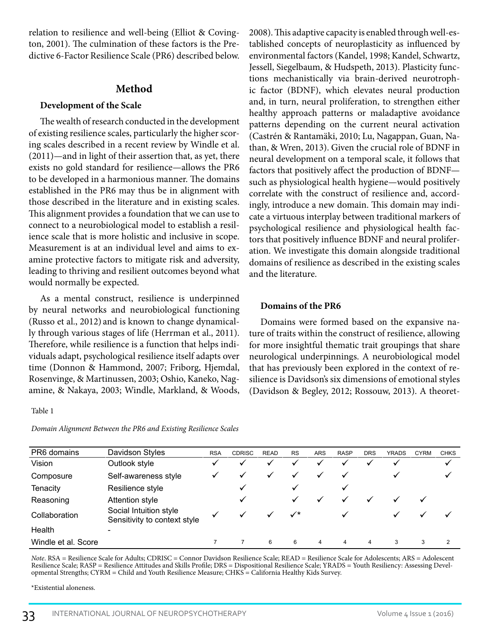relation to resilience and well-being (Elliot & Covington, 2001). The culmination of these factors is the Predictive 6-Factor Resilience Scale (PR6) described below.

## **Method**

## **Development of the Scale**

The wealth of research conducted in the development of existing resilience scales, particularly the higher scoring scales described in a recent review by Windle et al. (2011)—and in light of their assertion that, as yet, there exists no gold standard for resilience—allows the PR6 to be developed in a harmonious manner. The domains established in the PR6 may thus be in alignment with those described in the literature and in existing scales. This alignment provides a foundation that we can use to connect to a neurobiological model to establish a resilience scale that is more holistic and inclusive in scope. Measurement is at an individual level and aims to examine protective factors to mitigate risk and adversity, leading to thriving and resilient outcomes beyond what would normally be expected.

As a mental construct, resilience is underpinned by neural networks and neurobiological functioning (Russo et al., 2012) and is known to change dynamically through various stages of life (Herrman et al., 2011). Therefore, while resilience is a function that helps individuals adapt, psychological resilience itself adapts over time (Donnon & Hammond, 2007; Friborg, Hjemdal, Rosenvinge, & Martinussen, 2003; Oshio, Kaneko, Nagamine, & Nakaya, 2003; Windle, Markland, & Woods,

#### Table 1

*Domain Alignment Between the PR6 and Existing Resilience Scales*

2008). This adaptive capacity is enabled through well-established concepts of neuroplasticity as influenced by environmental factors (Kandel, 1998; Kandel, Schwartz, Jessell, Siegelbaum, & Hudspeth, 2013). Plasticity functions mechanistically via brain-derived neurotrophic factor (BDNF), which elevates neural production and, in turn, neural proliferation, to strengthen either healthy approach patterns or maladaptive avoidance patterns depending on the current neural activation (Castrén & Rantamäki, 2010; Lu, Nagappan, Guan, Nathan, & Wren, 2013). Given the crucial role of BDNF in neural development on a temporal scale, it follows that factors that positively affect the production of BDNF such as physiological health hygiene—would positively correlate with the construct of resilience and, accordingly, introduce a new domain. This domain may indicate a virtuous interplay between traditional markers of psychological resilience and physiological health factors that positively influence BDNF and neural proliferation. We investigate this domain alongside traditional domains of resilience as described in the existing scales and the literature.

## **Domains of the PR6**

Domains were formed based on the expansive nature of traits within the construct of resilience, allowing for more insightful thematic trait groupings that share neurological underpinnings. A neurobiological model that has previously been explored in the context of resilience is Davidson's six dimensions of emotional styles (Davidson & Begley, 2012; Rossouw, 2013). A theoret-

| PR6 domains         | Davidson Styles                                        | <b>RSA</b>   | <b>CDRISC</b> | <b>READ</b> | <b>RS</b>    | ARS          | <b>RASP</b> | <b>DRS</b> | <b>YRADS</b> | <b>CYRM</b> | <b>CHKS</b>  |
|---------------------|--------------------------------------------------------|--------------|---------------|-------------|--------------|--------------|-------------|------------|--------------|-------------|--------------|
| Vision              | Outlook style                                          |              | ✔             |             |              | $\checkmark$ |             |            |              |             | $\checkmark$ |
| Composure           | Self-awareness style                                   | $\checkmark$ |               |             |              | $\checkmark$ | ✓           |            |              |             | ✓            |
| <b>Tenacity</b>     | Resilience style                                       |              |               |             |              |              | ✔           |            |              |             |              |
| Reasoning           | Attention style                                        |              | ✔             |             |              | $\checkmark$ |             |            |              |             |              |
| Collaboration       | Social Intuition style<br>Sensitivity to context style |              |               |             | $\checkmark$ |              | √           |            |              |             | $\checkmark$ |
| Health              |                                                        |              |               |             |              |              |             |            |              |             |              |
| Windle et al. Score |                                                        |              |               | 6           | 6            | 4            | 4           |            | 3            | 3           |              |

*Note*. RSA = Resilience Scale for Adults; CDRISC = Connor Davidson Resilience Scale; READ = Resilience Scale for Adolescents; ARS = Adolescent Resilience Scale; RASP = Resilience Attitudes and Skills Profile; DRS = Dispositional Resilience Scale; YRADS = Youth Resiliency: Assessing Devel-<br>opmental Strengths; CYRM = Child and Youth Resilience Measure; CHKS = Calif

\*Existential aloneness.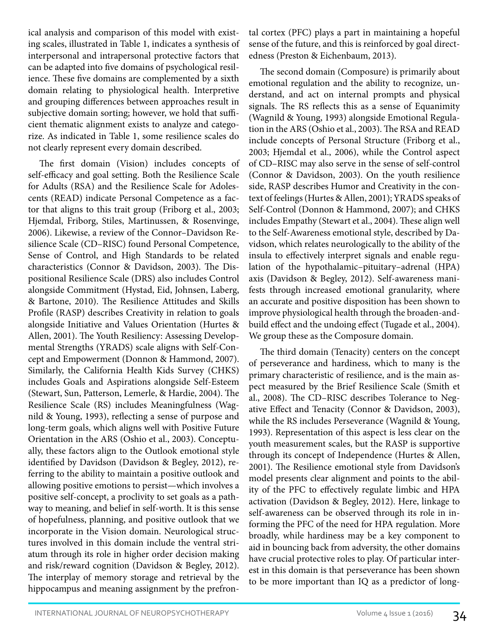ical analysis and comparison of this model with existing scales, illustrated in Table 1, indicates a synthesis of interpersonal and intrapersonal protective factors that can be adapted into five domains of psychological resilience. These five domains are complemented by a sixth domain relating to physiological health. Interpretive and grouping differences between approaches result in subjective domain sorting; however, we hold that sufficient thematic alignment exists to analyze and categorize. As indicated in Table 1, some resilience scales do not clearly represent every domain described.

The first domain (Vision) includes concepts of self-efficacy and goal setting. Both the Resilience Scale for Adults (RSA) and the Resilience Scale for Adolescents (READ) indicate Personal Competence as a factor that aligns to this trait group (Friborg et al., 2003; Hjemdal, Friborg, Stiles, Martinussen, & Rosenvinge, 2006). Likewise, a review of the Connor–Davidson Resilience Scale (CD–RISC) found Personal Competence, Sense of Control, and High Standards to be related characteristics (Connor & Davidson, 2003). The Dispositional Resilience Scale (DRS) also includes Control alongside Commitment (Hystad, Eid, Johnsen, Laberg, & Bartone, 2010). The Resilience Attitudes and Skills Profile (RASP) describes Creativity in relation to goals alongside Initiative and Values Orientation (Hurtes & Allen, 2001). The Youth Resiliency: Assessing Developmental Strengths (YRADS) scale aligns with Self-Concept and Empowerment (Donnon & Hammond, 2007). Similarly, the California Health Kids Survey (CHKS) includes Goals and Aspirations alongside Self-Esteem (Stewart, Sun, Patterson, Lemerle, & Hardie, 2004). The Resilience Scale (RS) includes Meaningfulness (Wagnild & Young, 1993), reflecting a sense of purpose and long-term goals, which aligns well with Positive Future Orientation in the ARS (Oshio et al., 2003). Conceptually, these factors align to the Outlook emotional style identified by Davidson (Davidson & Begley, 2012), referring to the ability to maintain a positive outlook and allowing positive emotions to persist—which involves a positive self-concept, a proclivity to set goals as a pathway to meaning, and belief in self-worth. It is this sense of hopefulness, planning, and positive outlook that we incorporate in the Vision domain. Neurological structures involved in this domain include the ventral striatum through its role in higher order decision making and risk/reward cognition (Davidson & Begley, 2012). The interplay of memory storage and retrieval by the hippocampus and meaning assignment by the prefrontal cortex (PFC) plays a part in maintaining a hopeful sense of the future, and this is reinforced by goal directedness (Preston & Eichenbaum, 2013).

The second domain (Composure) is primarily about emotional regulation and the ability to recognize, understand, and act on internal prompts and physical signals. The RS reflects this as a sense of Equanimity (Wagnild & Young, 1993) alongside Emotional Regulation in the ARS (Oshio et al., 2003). The RSA and READ include concepts of Personal Structure (Friborg et al., 2003; Hjemdal et al., 2006), while the Control aspect of CD–RISC may also serve in the sense of self-control (Connor & Davidson, 2003). On the youth resilience side, RASP describes Humor and Creativity in the context of feelings (Hurtes & Allen, 2001); YRADS speaks of Self-Control (Donnon & Hammond, 2007); and CHKS includes Empathy (Stewart et al., 2004). These align well to the Self-Awareness emotional style, described by Davidson, which relates neurologically to the ability of the insula to effectively interpret signals and enable regulation of the hypothalamic–pituitary–adrenal (HPA) axis (Davidson & Begley, 2012). Self-awareness manifests through increased emotional granularity, where an accurate and positive disposition has been shown to improve physiological health through the broaden-andbuild effect and the undoing effect (Tugade et al., 2004). We group these as the Composure domain.

The third domain (Tenacity) centers on the concept of perseverance and hardiness, which to many is the primary characteristic of resilience, and is the main aspect measured by the Brief Resilience Scale (Smith et al., 2008). The CD–RISC describes Tolerance to Negative Effect and Tenacity (Connor & Davidson, 2003), while the RS includes Perseverance (Wagnild & Young, 1993). Representation of this aspect is less clear on the youth measurement scales, but the RASP is supportive through its concept of Independence (Hurtes & Allen, 2001). The Resilience emotional style from Davidson's model presents clear alignment and points to the ability of the PFC to effectively regulate limbic and HPA activation (Davidson & Begley, 2012). Here, linkage to self-awareness can be observed through its role in informing the PFC of the need for HPA regulation. More broadly, while hardiness may be a key component to aid in bouncing back from adversity, the other domains have crucial protective roles to play. Of particular interest in this domain is that perseverance has been shown to be more important than IQ as a predictor of long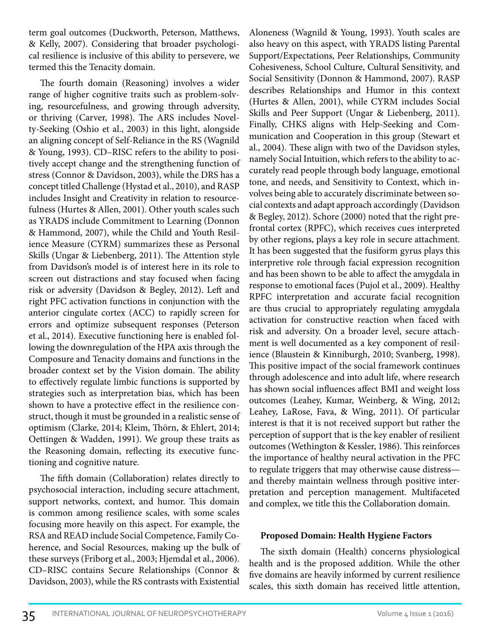term goal outcomes (Duckworth, Peterson, Matthews, & Kelly, 2007). Considering that broader psychological resilience is inclusive of this ability to persevere, we termed this the Tenacity domain.

The fourth domain (Reasoning) involves a wider range of higher cognitive traits such as problem-solving, resourcefulness, and growing through adversity, or thriving (Carver, 1998). The ARS includes Novelty-Seeking (Oshio et al., 2003) in this light, alongside an aligning concept of Self-Reliance in the RS (Wagnild & Young, 1993). CD–RISC refers to the ability to positively accept change and the strengthening function of stress (Connor & Davidson, 2003), while the DRS has a concept titled Challenge (Hystad et al., 2010), and RASP includes Insight and Creativity in relation to resourcefulness (Hurtes & Allen, 2001). Other youth scales such as YRADS include Commitment to Learning (Donnon & Hammond, 2007), while the Child and Youth Resilience Measure (CYRM) summarizes these as Personal Skills (Ungar & Liebenberg, 2011). The Attention style from Davidson's model is of interest here in its role to screen out distractions and stay focused when facing risk or adversity (Davidson & Begley, 2012). Left and right PFC activation functions in conjunction with the anterior cingulate cortex (ACC) to rapidly screen for errors and optimize subsequent responses (Peterson et al., 2014). Executive functioning here is enabled following the downregulation of the HPA axis through the Composure and Tenacity domains and functions in the broader context set by the Vision domain. The ability to effectively regulate limbic functions is supported by strategies such as interpretation bias, which has been shown to have a protective effect in the resilience construct, though it must be grounded in a realistic sense of optimism (Clarke, 2014; Kleim, Thörn, & Ehlert, 2014; Oettingen & Wadden, 1991). We group these traits as the Reasoning domain, reflecting its executive functioning and cognitive nature.

The fifth domain (Collaboration) relates directly to psychosocial interaction, including secure attachment, support networks, context, and humor. This domain is common among resilience scales, with some scales focusing more heavily on this aspect. For example, the RSA and READ include Social Competence, Family Coherence, and Social Resources, making up the bulk of these surveys (Friborg et al., 2003; Hjemdal et al., 2006). CD–RISC contains Secure Relationships (Connor & Davidson, 2003), while the RS contrasts with Existential

Aloneness (Wagnild & Young, 1993). Youth scales are also heavy on this aspect, with YRADS listing Parental Support/Expectations, Peer Relationships, Community Cohesiveness, School Culture, Cultural Sensitivity, and Social Sensitivity (Donnon & Hammond, 2007). RASP describes Relationships and Humor in this context (Hurtes & Allen, 2001), while CYRM includes Social Skills and Peer Support (Ungar & Liebenberg, 2011). Finally, CHKS aligns with Help-Seeking and Communication and Cooperation in this group (Stewart et al., 2004). These align with two of the Davidson styles, namely Social Intuition, which refers to the ability to accurately read people through body language, emotional tone, and needs, and Sensitivity to Context, which involves being able to accurately discriminate between social contexts and adapt approach accordingly (Davidson & Begley, 2012). Schore (2000) noted that the right prefrontal cortex (RPFC), which receives cues interpreted by other regions, plays a key role in secure attachment. It has been suggested that the fusiform gyrus plays this interpretive role through facial expression recognition and has been shown to be able to affect the amygdala in response to emotional faces (Pujol et al., 2009). Healthy RPFC interpretation and accurate facial recognition are thus crucial to appropriately regulating amygdala activation for constructive reaction when faced with risk and adversity. On a broader level, secure attachment is well documented as a key component of resilience (Blaustein & Kinniburgh, 2010; Svanberg, 1998). This positive impact of the social framework continues through adolescence and into adult life, where research has shown social influences affect BMI and weight loss outcomes (Leahey, Kumar, Weinberg, & Wing, 2012; Leahey, LaRose, Fava, & Wing, 2011). Of particular interest is that it is not received support but rather the perception of support that is the key enabler of resilient outcomes (Wethington & Kessler, 1986). This reinforces the importance of healthy neural activation in the PFC to regulate triggers that may otherwise cause distress and thereby maintain wellness through positive interpretation and perception management. Multifaceted and complex, we title this the Collaboration domain.

### **Proposed Domain: Health Hygiene Factors**

The sixth domain (Health) concerns physiological health and is the proposed addition. While the other five domains are heavily informed by current resilience scales, this sixth domain has received little attention,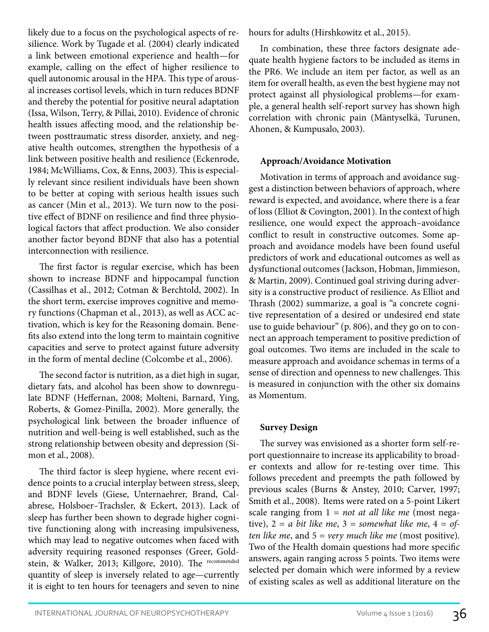likely due to a focus on the psychological aspects of resilience. Work by Tugade et al. (2004) clearly indicated a link between emotional experience and health—for example, calling on the effect of higher resilience to quell autonomic arousal in the HPA. This type of arousal increases cortisol levels, which in turn reduces BDNF and thereby the potential for positive neural adaptation (Issa, Wilson, Terry, & Pillai, 2010). Evidence of chronic health issues affecting mood, and the relationship between posttraumatic stress disorder, anxiety, and negative health outcomes, strengthen the hypothesis of a link between positive health and resilience (Eckenrode, 1984; McWilliams, Cox, & Enns, 2003). This is especially relevant since resilient individuals have been shown to be better at coping with serious health issues such as cancer (Min et al., 2013). We turn now to the positive effect of BDNF on resilience and find three physiological factors that affect production. We also consider another factor beyond BDNF that also has a potential interconnection with resilience.

The first factor is regular exercise, which has been shown to increase BDNF and hippocampal function (Cassilhas et al., 2012; Cotman & Berchtold, 2002). In the short term, exercise improves cognitive and memory functions (Chapman et al., 2013), as well as ACC activation, which is key for the Reasoning domain. Benefits also extend into the long term to maintain cognitive capacities and serve to protect against future adversity in the form of mental decline (Colcombe et al., 2006).

The second factor is nutrition, as a diet high in sugar, dietary fats, and alcohol has been show to downregulate BDNF (Heffernan, 2008; Molteni, Barnard, Ying, Roberts, & Gomez-Pinilla, 2002). More generally, the psychological link between the broader influence of nutrition and well-being is well established, such as the strong relationship between obesity and depression (Simon et al., 2008).

The third factor is sleep hygiene, where recent evidence points to a crucial interplay between stress, sleep, and BDNF levels (Giese, Unternaehrer, Brand, Calabrese, Holsboer–Trachsler, & Eckert, 2013). Lack of sleep has further been shown to degrade higher cognitive functioning along with increasing impulsiveness, which may lead to negative outcomes when faced with adversity requiring reasoned responses (Greer, Goldstein, & Walker, 2013; Killgore, 2010). The recommended quantity of sleep is inversely related to age—currently it is eight to ten hours for teenagers and seven to nine

hours for adults (Hirshkowitz et al., 2015).

In combination, these three factors designate adequate health hygiene factors to be included as items in the PR6. We include an item per factor, as well as an item for overall health, as even the best hygiene may not protect against all physiological problems—for example, a general health self-report survey has shown high correlation with chronic pain (Mäntyselkä, Turunen, Ahonen, & Kumpusalo, 2003).

### **Approach/Avoidance Motivation**

Motivation in terms of approach and avoidance suggest a distinction between behaviors of approach, where reward is expected, and avoidance, where there is a fear of loss (Elliot & Covington, 2001). In the context of high resilience, one would expect the approach–avoidance conflict to result in constructive outcomes. Some approach and avoidance models have been found useful predictors of work and educational outcomes as well as dysfunctional outcomes (Jackson, Hobman, Jimmieson, & Martin, 2009). Continued goal striving during adversity is a constructive product of resilience. As Elliot and Thrash (2002) summarize, a goal is "a concrete cognitive representation of a desired or undesired end state use to guide behaviour" (p. 806), and they go on to connect an approach temperament to positive prediction of goal outcomes. Two items are included in the scale to measure approach and avoidance schemas in terms of a sense of direction and openness to new challenges. This is measured in conjunction with the other six domains as Momentum.

### **Survey Design**

The survey was envisioned as a shorter form self-report questionnaire to increase its applicability to broader contexts and allow for re-testing over time. This follows precedent and preempts the path followed by previous scales (Burns & Anstey, 2010; Carver, 1997; Smith et al., 2008). Items were rated on a 5-point Likert scale ranging from 1 = *not at all like me* (most negative),  $2 = a$  *bit like me*,  $3 =$  *somewhat like me*,  $4 = of$ *ten like me*, and 5 = *very much like me* (most positive). Two of the Health domain questions had more specific answers, again ranging across 5 points. Two items were selected per domain which were informed by a review of existing scales as well as additional literature on the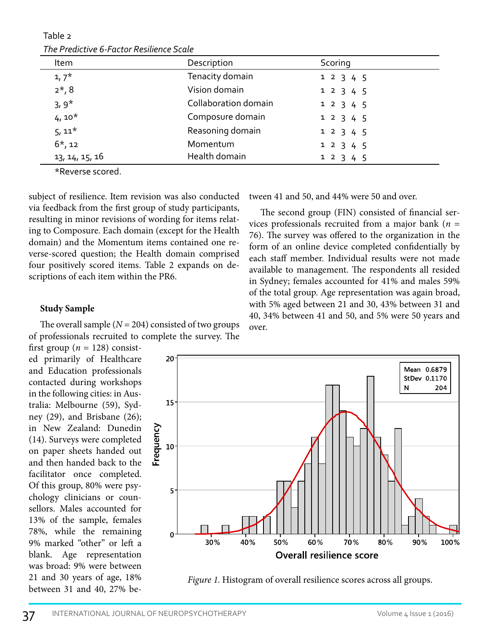| The Predictive 6-Factor Resilience Scale |                      |           |  |  |  |  |
|------------------------------------------|----------------------|-----------|--|--|--|--|
| Item                                     | Description          | Scoring   |  |  |  |  |
| $1,7^*$                                  | Tenacity domain      | 1 2 3 4 5 |  |  |  |  |
| $2*, 8$                                  | Vision domain        | 1 2 3 4 5 |  |  |  |  |
| $3,9*$                                   | Collaboration domain | 1 2 3 4 5 |  |  |  |  |
| $4,10*$                                  | Composure domain     | 1 2 3 4 5 |  |  |  |  |
| $5,11*$                                  | Reasoning domain     | 1 2 3 4 5 |  |  |  |  |
| $6*, 12$                                 | Momentum             | 1 2 3 4 5 |  |  |  |  |
| 13, 14, 15, 16                           | Health domain        | 1 2 3 4 5 |  |  |  |  |

Table 2 *The Predictive 6-Factor Resilience Scale*

\*Reverse scored.

subject of resilience. Item revision was also conducted via feedback from the first group of study participants, resulting in minor revisions of wording for items relating to Composure. Each domain (except for the Health domain) and the Momentum items contained one reverse-scored question; the Health domain comprised four positively scored items. Table 2 expands on descriptions of each item within the PR6.

### **Study Sample**

The overall sample  $(N = 204)$  consisted of two groups of professionals recruited to complete the survey. The

first group ( $n = 128$ ) consisted primarily of Healthcare and Education professionals contacted during workshops in the following cities: in Australia: Melbourne (59), Sydney (29), and Brisbane (26); in New Zealand: Dunedin (14). Surveys were completed on paper sheets handed out and then handed back to the facilitator once completed. Of this group, 80% were psychology clinicians or counsellors. Males accounted for 13% of the sample, females 78%, while the remaining 9% marked "other" or left a blank. Age representation was broad: 9% were between 21 and 30 years of age, 18% between 31 and 40, 27% between 41 and 50, and 44% were 50 and over.

The second group (FIN) consisted of financial services professionals recruited from a major bank (*n* = 76). The survey was offered to the organization in the form of an online device completed confidentially by each staff member. Individual results were not made available to management. The respondents all resided in Sydney; females accounted for 41% and males 59% of the total group. Age representation was again broad, with 5% aged between 21 and 30, 43% between 31 and 40, 34% between 41 and 50, and 5% were 50 years and over.



*Figure 1.* Histogram of overall resilience scores across all groups.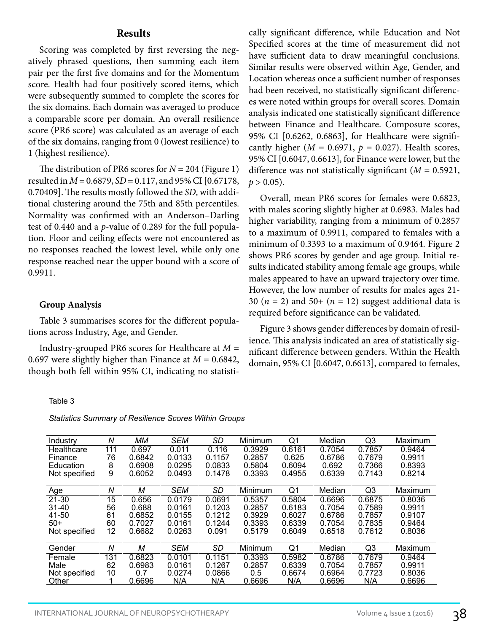#### **Results**

Scoring was completed by first reversing the negatively phrased questions, then summing each item pair per the first five domains and for the Momentum score. Health had four positively scored items, which were subsequently summed to complete the scores for the six domains. Each domain was averaged to produce a comparable score per domain. An overall resilience score (PR6 score) was calculated as an average of each of the six domains, ranging from 0 (lowest resilience) to 1 (highest resilience).

The distribution of PR6 scores for *N* = 204 (Figure 1) resulted in *M* = 0.6879, *SD* = 0.117, and 95% CI [0.67178, 0.70409]. The results mostly followed the *SD*, with additional clustering around the 75th and 85th percentiles. Normality was confirmed with an Anderson–Darling test of 0.440 and a *p*-value of 0.289 for the full population. Floor and ceiling effects were not encountered as no responses reached the lowest level, while only one response reached near the upper bound with a score of 0.9911.

#### **Group Analysis**

Table 3 summarises scores for the different populations across Industry, Age, and Gender.

Industry-grouped PR6 scores for Healthcare at *M* = 0.697 were slightly higher than Finance at  $M = 0.6842$ , though both fell within 95% CI, indicating no statisti-

#### Table 3

*Statistics Summary of Resilience Scores Within Groups*

| Industry      | Ν   | MМ     | <b>SEM</b> | SD     | Minimum | Q1             | Median | Q <sub>3</sub> | Maximum |
|---------------|-----|--------|------------|--------|---------|----------------|--------|----------------|---------|
| Healthcare    | 111 | 0.697  | 0.011      | 0.116  | 0.3929  | 0.6161         | 0.7054 | 0.7857         | 0.9464  |
| Finance       | 76  | 0.6842 | 0.0133     | 0.1157 | 0.2857  | 0.625          | 0.6786 | 0.7679         | 0.9911  |
| Education     | 8   | 0.6908 | 0.0295     | 0.0833 | 0.5804  | 0.6094         | 0.692  | 0.7366         | 0.8393  |
| Not specified | 9   | 0.6052 | 0.0493     | 0.1478 | 0.3393  | 0.4955         | 0.6339 | 0.7143         | 0.8214  |
|               |     |        |            |        |         |                |        |                |         |
| Age           | Ν   | М      | <b>SEM</b> | SD     | Minimum | Q <sub>1</sub> | Median | Q <sub>3</sub> | Maximum |
| $21 - 30$     | 15  | 0.656  | 0.0179     | 0.0691 | 0.5357  | 0.5804         | 0.6696 | 0.6875         | 0.8036  |
| $31 - 40$     | 56  | 0.688  | 0.0161     | 0.1203 | 0.2857  | 0.6183         | 0.7054 | 0.7589         | 0.9911  |
| 41-50         | 61  | 0.6852 | 0.0155     | 0.1212 | 0.3929  | 0.6027         | 0.6786 | 0.7857         | 0.9107  |
| $50+$         | 60  | 0.7027 | 0.0161     | 0.1244 | 0.3393  | 0.6339         | 0.7054 | 0.7835         | 0.9464  |
| Not specified | 12  | 0.6682 | 0.0263     | 0.091  | 0.5179  | 0.6049         | 0.6518 | 0.7612         | 0.8036  |
|               |     |        |            |        |         |                |        |                |         |
| Gender        | N   | м      | <b>SEM</b> | SD     | Minimum | Q1             | Median | Q3             | Maximum |
| Female        | 131 | 0.6823 | 0.0101     | 0.1151 | 0.3393  | 0.5982         | 0.6786 | 0.7679         | 0.9464  |
| Male          | 62  | 0.6983 | 0.0161     | 0.1267 | 0.2857  | 0.6339         | 0.7054 | 0.7857         | 0.9911  |
| Not specified | 10  | 0.7    | 0.0274     | 0.0866 | 0.5     | 0.6674         | 0.6964 | 0.7723         | 0.8036  |
| Other         |     | 0.6696 | N/A        | N/A    | 0.6696  | N/A            | 0.6696 | N/A            | 0.6696  |
|               |     |        |            |        |         |                |        |                |         |

cally significant difference, while Education and Not Specified scores at the time of measurement did not have sufficient data to draw meaningful conclusions. Similar results were observed within Age, Gender, and Location whereas once a sufficient number of responses had been received, no statistically significant differences were noted within groups for overall scores. Domain analysis indicated one statistically significant difference between Finance and Healthcare. Composure scores, 95% CI [0.6262, 0.6863], for Healthcare were significantly higher ( $M = 0.6971$ ,  $p = 0.027$ ). Health scores, 95% CI [0.6047, 0.6613], for Finance were lower, but the difference was not statistically significant (*M* = 0.5921,  $p > 0.05$ ).

Overall, mean PR6 scores for females were 0.6823, with males scoring slightly higher at 0.6983. Males had higher variability, ranging from a minimum of 0.2857 to a maximum of 0.9911, compared to females with a minimum of 0.3393 to a maximum of 0.9464. Figure 2 shows PR6 scores by gender and age group. Initial results indicated stability among female age groups, while males appeared to have an upward trajectory over time. However, the low number of results for males ages 21- 30  $(n = 2)$  and 50+  $(n = 12)$  suggest additional data is required before significance can be validated.

Figure 3 shows gender differences by domain of resilience. This analysis indicated an area of statistically significant difference between genders. Within the Health domain, 95% CI [0.6047, 0.6613], compared to females,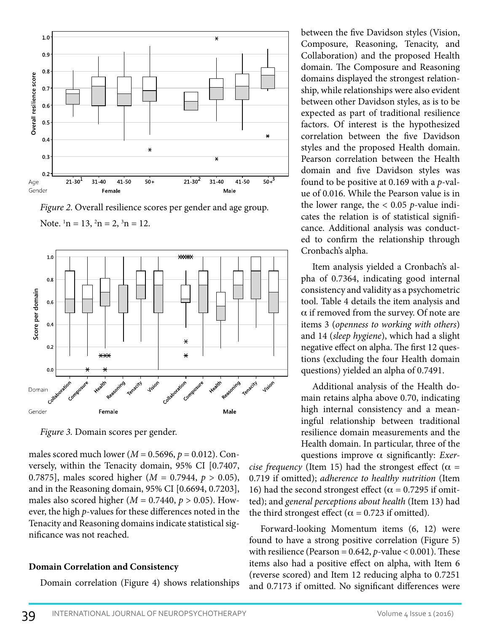

*Figure 2*. Overall resilience scores per gender and age group. Note.  $\ln = 13$ ,  $\ln = 2$ ,  $\ln = 12$ .



*Figure 3.* Domain scores per gender.

males scored much lower ( $M = 0.5696$ ,  $p = 0.012$ ). Conversely, within the Tenacity domain, 95% CI [0.7407, 0.7875], males scored higher (*M* = 0.7944, *p* > 0.05), and in the Reasoning domain, 95% CI [0.6694, 0.7203], males also scored higher ( $M = 0.7440$ ,  $p > 0.05$ ). However, the high *p*-values for these differences noted in the Tenacity and Reasoning domains indicate statistical significance was not reached.

### **Domain Correlation and Consistency**

Domain correlation (Figure 4) shows relationships

between the five Davidson styles (Vision, Composure, Reasoning, Tenacity, and Collaboration) and the proposed Health domain. The Composure and Reasoning domains displayed the strongest relationship, while relationships were also evident between other Davidson styles, as is to be expected as part of traditional resilience factors. Of interest is the hypothesized correlation between the five Davidson styles and the proposed Health domain. Pearson correlation between the Health domain and five Davidson styles was found to be positive at 0.169 with a *p*-value of 0.016. While the Pearson value is in the lower range, the < 0.05 *p*-value indicates the relation is of statistical significance. Additional analysis was conducted to confirm the relationship through Cronbach's alpha.

Item analysis yielded a Cronbach's alpha of 0.7364, indicating good internal consistency and validity as a psychometric tool. Table 4 details the item analysis and  $\alpha$  if removed from the survey. Of note are items 3 (*openness to working with others*) and 14 (*sleep hygiene*), which had a slight negative effect on alpha. The first 12 questions (excluding the four Health domain questions) yielded an alpha of 0.7491.

Additional analysis of the Health domain retains alpha above 0.70, indicating high internal consistency and a meaningful relationship between traditional resilience domain measurements and the Health domain. In particular, three of the questions improve a significantly: *Exer-*

*cise frequency* (Item 15) had the strongest effect ( $\alpha$  = 0.719 if omitted); *adherence to healthy nutrition* (Item 16) had the second strongest effect ( $\alpha$  = 0.7295 if omitted); and *general perceptions about health* (Item 13) had the third strongest effect ( $\alpha$  = 0.723 if omitted).

Forward-looking Momentum items (6, 12) were found to have a strong positive correlation (Figure 5) with resilience (Pearson =  $0.642$ ,  $p$ -value <  $0.001$ ). These items also had a positive effect on alpha, with Item 6 (reverse scored) and Item 12 reducing alpha to 0.7251 and 0.7173 if omitted. No significant differences were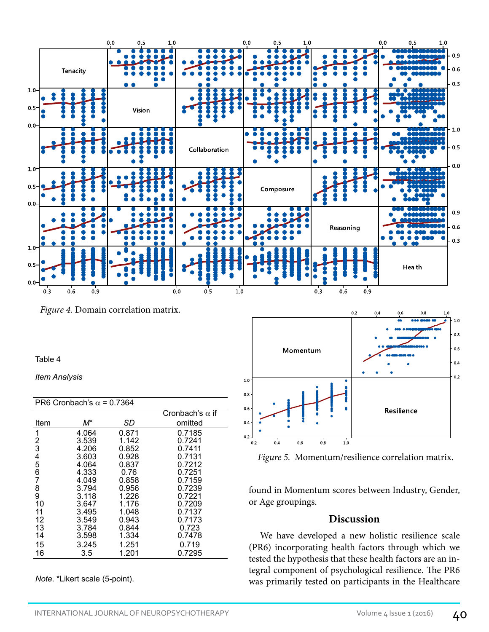

*Figure 4.* Domain correlation matrix.

#### Table 4

*Item Analysis*

| PR6 Cronbach's $\alpha$ = 0.7364 |       |       |                        |  |  |  |
|----------------------------------|-------|-------|------------------------|--|--|--|
|                                  |       |       | Cronbach's $\alpha$ if |  |  |  |
| Item                             | M*    | SD    | omitted                |  |  |  |
| 1                                | 4.064 | 0.871 | 0.7185                 |  |  |  |
| 2                                | 3.539 | 1.142 | 0.7241                 |  |  |  |
| $\bar{3}$                        | 4.206 | 0.852 | 0.7411                 |  |  |  |
| 4                                | 3.603 | 0.928 | 0.7131                 |  |  |  |
| 5                                | 4.064 | 0.837 | 0.7212                 |  |  |  |
| 6                                | 4.333 | 0.76  | 0.7251                 |  |  |  |
| 7                                | 4.049 | 0.858 | 0.7159                 |  |  |  |
| 8                                | 3.794 | 0.956 | 0.7239                 |  |  |  |
| 9                                | 3.118 | 1.226 | 0.7221                 |  |  |  |
| 10                               | 3.647 | 1.176 | 0.7209                 |  |  |  |
| 11                               | 3.495 | 1.048 | 0.7137                 |  |  |  |
| 12                               | 3.549 | 0.943 | 0.7173                 |  |  |  |
| 13                               | 3.784 | 0.844 | 0.723                  |  |  |  |
| 14                               | 3.598 | 1.334 | 0.7478                 |  |  |  |
| 15                               | 3.245 | 1.251 | 0.719                  |  |  |  |
| 16                               | 3.5   | 1.201 | 0.7295                 |  |  |  |
|                                  |       |       |                        |  |  |  |

*Note*. \*Likert scale (5-point).



*Figure 5.* Momentum/resilience correlation matrix.

found in Momentum scores between Industry, Gender, or Age groupings.

## **Discussion**

We have developed a new holistic resilience scale (PR6) incorporating health factors through which we tested the hypothesis that these health factors are an integral component of psychological resilience. The PR6 was primarily tested on participants in the Healthcare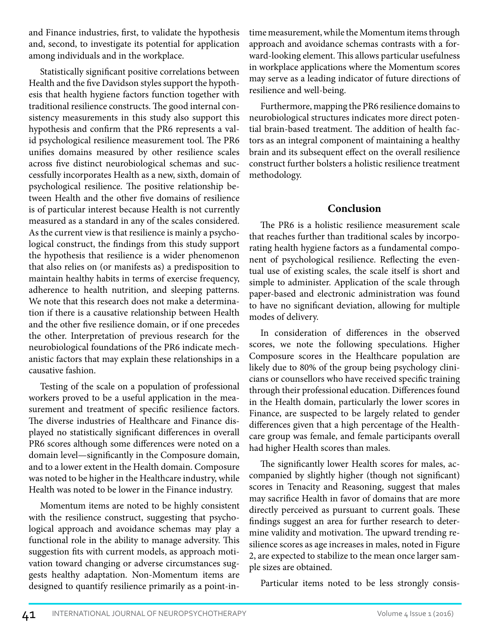and Finance industries, first, to validate the hypothesis and, second, to investigate its potential for application among individuals and in the workplace.

Statistically significant positive correlations between Health and the five Davidson styles support the hypothesis that health hygiene factors function together with traditional resilience constructs. The good internal consistency measurements in this study also support this hypothesis and confirm that the PR6 represents a valid psychological resilience measurement tool. The PR6 unifies domains measured by other resilience scales across five distinct neurobiological schemas and successfully incorporates Health as a new, sixth, domain of psychological resilience. The positive relationship between Health and the other five domains of resilience is of particular interest because Health is not currently measured as a standard in any of the scales considered. As the current view is that resilience is mainly a psychological construct, the findings from this study support the hypothesis that resilience is a wider phenomenon that also relies on (or manifests as) a predisposition to maintain healthy habits in terms of exercise frequency, adherence to health nutrition, and sleeping patterns. We note that this research does not make a determination if there is a causative relationship between Health and the other five resilience domain, or if one precedes the other. Interpretation of previous research for the neurobiological foundations of the PR6 indicate mechanistic factors that may explain these relationships in a causative fashion.

Testing of the scale on a population of professional workers proved to be a useful application in the measurement and treatment of specific resilience factors. The diverse industries of Healthcare and Finance displayed no statistically significant differences in overall PR6 scores although some differences were noted on a domain level—significantly in the Composure domain, and to a lower extent in the Health domain. Composure was noted to be higher in the Healthcare industry, while Health was noted to be lower in the Finance industry.

Momentum items are noted to be highly consistent with the resilience construct, suggesting that psychological approach and avoidance schemas may play a functional role in the ability to manage adversity. This suggestion fits with current models, as approach motivation toward changing or adverse circumstances suggests healthy adaptation. Non-Momentum items are designed to quantify resilience primarily as a point-intime measurement, while the Momentum items through approach and avoidance schemas contrasts with a forward-looking element. This allows particular usefulness in workplace applications where the Momentum scores may serve as a leading indicator of future directions of resilience and well-being.

Furthermore, mapping the PR6 resilience domains to neurobiological structures indicates more direct potential brain-based treatment. The addition of health factors as an integral component of maintaining a healthy brain and its subsequent effect on the overall resilience construct further bolsters a holistic resilience treatment methodology.

# **Conclusion**

The PR6 is a holistic resilience measurement scale that reaches further than traditional scales by incorporating health hygiene factors as a fundamental component of psychological resilience. Reflecting the eventual use of existing scales, the scale itself is short and simple to administer. Application of the scale through paper-based and electronic administration was found to have no significant deviation, allowing for multiple modes of delivery.

In consideration of differences in the observed scores, we note the following speculations. Higher Composure scores in the Healthcare population are likely due to 80% of the group being psychology clinicians or counsellors who have received specific training through their professional education. Differences found in the Health domain, particularly the lower scores in Finance, are suspected to be largely related to gender differences given that a high percentage of the Healthcare group was female, and female participants overall had higher Health scores than males.

The significantly lower Health scores for males, accompanied by slightly higher (though not significant) scores in Tenacity and Reasoning, suggest that males may sacrifice Health in favor of domains that are more directly perceived as pursuant to current goals. These findings suggest an area for further research to determine validity and motivation. The upward trending resilience scores as age increases in males, noted in Figure 2, are expected to stabilize to the mean once larger sample sizes are obtained.

Particular items noted to be less strongly consis-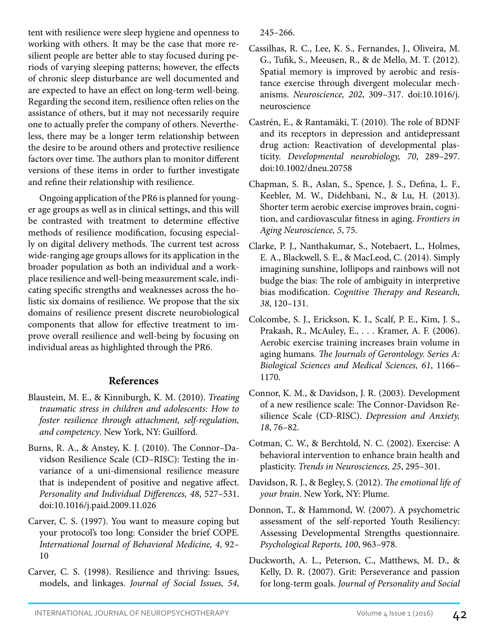tent with resilience were sleep hygiene and openness to working with others. It may be the case that more resilient people are better able to stay focused during periods of varying sleeping patterns; however, the effects of chronic sleep disturbance are well documented and are expected to have an effect on long-term well-being. Regarding the second item, resilience often relies on the assistance of others, but it may not necessarily require one to actually prefer the company of others. Nevertheless, there may be a longer term relationship between the desire to be around others and protective resilience factors over time. The authors plan to monitor different versions of these items in order to further investigate and refine their relationship with resilience.

Ongoing application of the PR6 is planned for younger age groups as well as in clinical settings, and this will be contrasted with treatment to determine effective methods of resilience modification, focusing especially on digital delivery methods. The current test across wide-ranging age groups allows for its application in the broader population as both an individual and a workplace resilience and well-being measurement scale, indicating specific strengths and weaknesses across the holistic six domains of resilience. We propose that the six domains of resilience present discrete neurobiological components that allow for effective treatment to improve overall resilience and well-being by focusing on individual areas as highlighted through the PR6.

# **References**

- Blaustein, M. E., & Kinniburgh, K. M. (2010). *Treating traumatic stress in children and adolescents: How to foster resilience through attachment, self-regulation, and competency*. New York, NY: Guilford.
- Burns, R. A., & Anstey, K. J. (2010). The Connor–Davidson Resilience Scale (CD–RISC): Testing the invariance of a uni-dimensional resilience measure that is independent of positive and negative affect. *Personality and Individual Differences, 48*, 527–531. doi:10.1016/j.paid.2009.11.026
- Carver, C. S. (1997). You want to measure coping but your protocol's too long: Consider the brief COPE. *International Journal of Behavioral Medicine, 4*, 92– 10
- Carver, C. S. (1998). Resilience and thriving: Issues, models, and linkages. *Journal of Social Issues, 54*,

245–266.

- Cassilhas, R. C., Lee, K. S., Fernandes, J., Oliveira, M. G., Tufik, S., Meeusen, R., & de Mello, M. T. (2012). Spatial memory is improved by aerobic and resistance exercise through divergent molecular mechanisms. *Neuroscience, 202*, 309–317. doi:10.1016/j. neuroscience
- Castrén, E., & Rantamäki, T. (2010). The role of BDNF and its receptors in depression and antidepressant drug action: Reactivation of developmental plasticity. *Developmental neurobiology, 70*, 289–297. doi:10.1002/dneu.20758
- Chapman, S. B., Aslan, S., Spence, J. S., Defina, L. F., Keebler, M. W., Didehbani, N., & Lu, H. (2013). Shorter term aerobic exercise improves brain, cognition, and cardiovascular fitness in aging. *Frontiers in Aging Neuroscience, 5*, 75.
- Clarke, P. J., Nanthakumar, S., Notebaert, L., Holmes, E. A., Blackwell, S. E., & MacLeod, C. (2014). Simply imagining sunshine, lollipops and rainbows will not budge the bias: The role of ambiguity in interpretive bias modification. *Cognitive Therapy and Research, 38*, 120–131.
- Colcombe, S. J., Erickson, K. I., Scalf, P. E., Kim, J. S., Prakash, R., McAuley, E., . . . Kramer, A. F. (2006). Aerobic exercise training increases brain volume in aging humans. *The Journals of Gerontology. Series A: Biological Sciences and Medical Sciences, 61*, 1166– 1170.
- Connor, K. M., & Davidson, J. R. (2003). Development of a new resilience scale: The Connor‐Davidson Resilience Scale (CD‐RISC). *Depression and Anxiety, 18*, 76–82.
- Cotman, C. W., & Berchtold, N. C. (2002). Exercise: A behavioral intervention to enhance brain health and plasticity. *Trends in Neurosciences, 25*, 295–301.
- Davidson, R. J., & Begley, S. (2012). *The emotional life of your brain*. New York, NY: Plume.
- Donnon, T., & Hammond, W. (2007). A psychometric assessment of the self-reported Youth Resiliency: Assessing Developmental Strengths questionnaire. *Psychological Reports, 100*, 963–978.
- Duckworth, A. L., Peterson, C., Matthews, M. D., & Kelly, D. R. (2007). Grit: Perseverance and passion for long-term goals. *Journal of Personality and Social*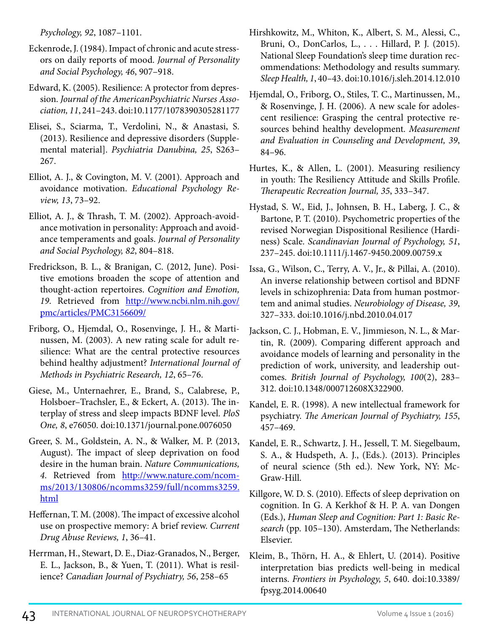*Psychology, 92*, 1087–1101.

- Eckenrode, J. (1984). Impact of chronic and acute stressors on daily reports of mood. *Journal of Personality and Social Psychology, 46*, 907–918.
- Edward, K. (2005). Resilience: A protector from depression. *Journal of the AmericanPsychiatric Nurses Association, 11*, 241–243. doi:10.1177/1078390305281177
- Elisei, S., Sciarma, T., Verdolini, N., & Anastasi, S. (2013). Resilience and depressive disorders (Supplemental material]. *Psychiatria Danubina, 25*, S263– 267.
- Elliot, A. J., & Covington, M. V. (2001). Approach and avoidance motivation. *Educational Psychology Review, 13*, 73–92.
- Elliot, A. J., & Thrash, T. M. (2002). Approach-avoidance motivation in personality: Approach and avoidance temperaments and goals. *Journal of Personality and Social Psychology, 82*, 804–818.
- Fredrickson, B. L., & Branigan, C. (2012, June). Positive emotions broaden the scope of attention and thought‐action repertoires. *Cognition and Emotion, 19*. Retrieved from [http://www.ncbi.nlm.nih.gov/](http://www.ncbi.nlm.nih.gov/pmc/articles/PMC3156609/) [pmc/articles/PMC3156609/](http://www.ncbi.nlm.nih.gov/pmc/articles/PMC3156609/)
- Friborg, O., Hjemdal, O., Rosenvinge, J. H., & Martinussen, M. (2003). A new rating scale for adult resilience: What are the central protective resources behind healthy adjustment? *International Journal of Methods in Psychiatric Research, 12*, 65–76.
- Giese, M., Unternaehrer, E., Brand, S., Calabrese, P., Holsboer–Trachsler, E., & Eckert, A. (2013). The interplay of stress and sleep impacts BDNF level. *PloS One, 8*, e76050. doi:10.1371/journal.pone.0076050
- Greer, S. M., Goldstein, A. N., & Walker, M. P. (2013, August). The impact of sleep deprivation on food desire in the human brain. *Nature Communications,*  4. Retrieved from [http://www.nature.com/ncom](http://www.nature.com/ncomms/2013/130806/ncomms3259/full/ncomms3259.html)[ms/2013/130806/ncomms3259/full/ncomms3259.](http://www.nature.com/ncomms/2013/130806/ncomms3259/full/ncomms3259.html) [html](http://www.nature.com/ncomms/2013/130806/ncomms3259/full/ncomms3259.html)
- Heffernan, T. M. (2008). The impact of excessive alcohol use on prospective memory: A brief review. *Current Drug Abuse Reviews, 1*, 36–41.
- Herrman, H., Stewart, D. E., Diaz-Granados, N., Berger, E. L., Jackson, B., & Yuen, T. (2011). What is resilience? *Canadian Journal of Psychiatry, 56*, 258–65
- Hirshkowitz, M., Whiton, K., Albert, S. M., Alessi, C., Bruni, O., DonCarlos, L., . . . Hillard, P. J. (2015). National Sleep Foundation's sleep time duration recommendations: Methodology and results summary. *Sleep Health, 1*, 40–43. doi:10.1016/j.sleh.2014.12.010
- Hjemdal, O., Friborg, O., Stiles, T. C., Martinussen, M., & Rosenvinge, J. H. (2006). A new scale for adolescent resilience: Grasping the central protective resources behind healthy development. *Measurement and Evaluation in Counseling and Development, 39*, 84–96.
- Hurtes, K., & Allen, L. (2001). Measuring resiliency in youth: The Resiliency Attitude and Skills Profile. *Therapeutic Recreation Journal, 35*, 333–347.
- Hystad, S. W., Eid, J., Johnsen, B. H., Laberg, J. C., & Bartone, P. T. (2010). Psychometric properties of the revised Norwegian Dispositional Resilience (Hardiness) Scale. *Scandinavian Journal of Psychology, 51*, 237–245. doi:10.1111/j.1467-9450.2009.00759.x
- Issa, G., Wilson, C., Terry, A. V., Jr., & Pillai, A. (2010). An inverse relationship between cortisol and BDNF levels in schizophrenia: Data from human postmortem and animal studies. *Neurobiology of Disease, 39*, 327–333. doi:10.1016/j.nbd.2010.04.017
- Jackson, C. J., Hobman, E. V., Jimmieson, N. L., & Martin, R. (2009). Comparing different approach and avoidance models of learning and personality in the prediction of work, university, and leadership outcomes. *British Journal of Psychology, 100*(2), 283– 312. doi:10.1348/000712608X322900.
- Kandel, E. R. (1998). A new intellectual framework for psychiatry. *The American Journal of Psychiatry, 155*, 457–469.
- Kandel, E. R., Schwartz, J. H., Jessell, T. M. Siegelbaum, S. A., & Hudspeth, A. J., (Eds.). (2013). Principles of neural science (5th ed.). New York, NY: Mc-Graw-Hill.
- Killgore, W. D. S. (2010). Effects of sleep deprivation on cognition. In G. A Kerkhof & H. P. A. van Dongen (Eds.), *Human Sleep and Cognition: Part 1: Basic Research* (pp. 105–130). Amsterdam, The Netherlands: Elsevier.
- Kleim, B., Thörn, H. A., & Ehlert, U. (2014). Positive interpretation bias predicts well-being in medical interns. *Frontiers in Psychology, 5*, 640. doi:10.3389/ fpsyg.2014.00640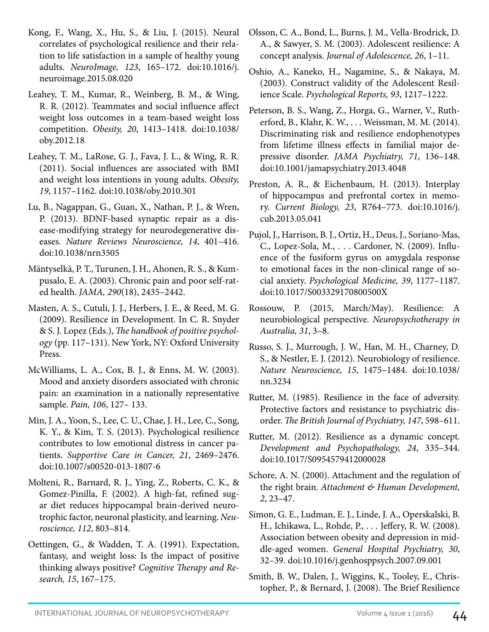- Kong, F., Wang, X., Hu, S., & Liu, J. (2015). Neural correlates of psychological resilience and their relation to life satisfaction in a sample of healthy young adults. *NeuroImage, 123*, 165–172. doi:10.1016/j. neuroimage.2015.08.020
- Leahey, T. M., Kumar, R., Weinberg, B. M., & Wing, R. R. (2012). Teammates and social influence affect weight loss outcomes in a team‐based weight loss competition. *Obesity, 20*, 1413–1418. doi:10.1038/ oby.2012.18
- Leahey, T. M., LaRose, G. J., Fava, J. L., & Wing, R. R. (2011). Social influences are associated with BMI and weight loss intentions in young adults. *Obesity, 19*, 1157–1162. doi:10.1038/oby.2010.301
- Lu, B., Nagappan, G., Guan, X., Nathan, P. J., & Wren, P. (2013). BDNF-based synaptic repair as a disease-modifying strategy for neurodegenerative diseases. *Nature Reviews Neuroscience, 14*, 401–416. doi:10.1038/nrn3505
- Mäntyselkä, P. T., Turunen, J. H., Ahonen, R. S., & Kumpusalo, E. A. (2003). Chronic pain and poor self-rated health. *JAMA, 290*(18), 2435–2442.
- Masten, A. S., Cutuli, J. J., Herbers, J. E., & Reed, M. G. (2009). Resilience in Development. In C. R. Snyder & S. J. Lopez (Eds.), *The handbook of positive psychology* (pp. 117–131). New York, NY: Oxford University Press.
- McWilliams, L. A., Cox, B. J., & Enns, M. W. (2003). Mood and anxiety disorders associated with chronic pain: an examination in a nationally representative sample. *Pain, 106*, 127– 133.
- Min, J. A., Yoon, S., Lee, C. U., Chae, J. H., Lee, C., Song, K. Y., & Kim, T. S. (2013). Psychological resilience contributes to low emotional distress in cancer patients. *Supportive Care in Cancer, 21*, 2469–2476. doi:10.1007/s00520-013-1807-6
- Molteni, R., Barnard, R. J., Ying, Z., Roberts, C. K., & Gomez-Pinilla, F. (2002). A high-fat, refined sugar diet reduces hippocampal brain-derived neurotrophic factor, neuronal plasticity, and learning. *Neuroscience, 112*, 803–814.
- Oettingen, G., & Wadden, T. A. (1991). Expectation, fantasy, and weight loss: Is the impact of positive thinking always positive? *Cognitive Therapy and Research, 15*, 167–175.
- Olsson, C. A., Bond, L., Burns, J. M., Vella-Brodrick, D. A., & Sawyer, S. M. (2003). Adolescent resilience: A concept analysis. *Journal of Adolescence, 26*, 1–11.
- Oshio, A., Kaneko, H., Nagamine, S., & Nakaya, M. (2003). Construct validity of the Adolescent Resilience Scale. *Psychological Reports, 93*, 1217–1222.
- Peterson, B. S., Wang, Z., Horga, G., Warner, V., Rutherford, B., Klahr, K. W., . . . Weissman, M. M. (2014). Discriminating risk and resilience endophenotypes from lifetime illness effects in familial major depressive disorder. *JAMA Psychiatry, 71*, 136–148. doi:10.1001/jamapsychiatry.2013.4048
- Preston, A. R., & Eichenbaum, H. (2013). Interplay of hippocampus and prefrontal cortex in memory. *Current Biology, 23*, R764–773. doi:10.1016/j. cub.2013.05.041
- Pujol, J., Harrison, B. J., Ortiz, H., Deus, J., Soriano-Mas, C., Lopez-Sola, M., . . . Cardoner, N. (2009). Influence of the fusiform gyrus on amygdala response to emotional faces in the non-clinical range of social anxiety. *Psychological Medicine, 39*, 1177–1187. doi:10.1017/S003329170800500X
- Rossouw, P. (2015, March/May). Resilience: A neurobiological perspective. *Neuropsychotherapy in Australia, 31*, 3–8.
- Russo, S. J., Murrough, J. W., Han, M. H., Charney, D. S., & Nestler, E. J. (2012). Neurobiology of resilience. *Nature Neuroscience, 15*, 1475–1484. doi:10.1038/ nn.3234
- Rutter, M. (1985). Resilience in the face of adversity. Protective factors and resistance to psychiatric disorder. *The British Journal of Psychiatry, 147*, 598–611.
- Rutter, M. (2012). Resilience as a dynamic concept. *Development and Psychopathology, 24*, 335–344. doi:10.1017/S0954579412000028
- Schore, A. N. (2000). Attachment and the regulation of the right brain. *Attachment & Human Development, 2*, 23–47.
- Simon, G. E., Ludman, E. J., Linde, J. A., Operskalski, B. H., Ichikawa, L., Rohde, P., . . . Jeffery, R. W. (2008). Association between obesity and depression in middle-aged women. *General Hospital Psychiatry, 30*, 32–39. doi:10.1016/j.genhosppsych.2007.09.001
- Smith, B. W., Dalen, J., Wiggins, K., Tooley, E., Christopher, P., & Bernard, J. (2008). The Brief Resilience